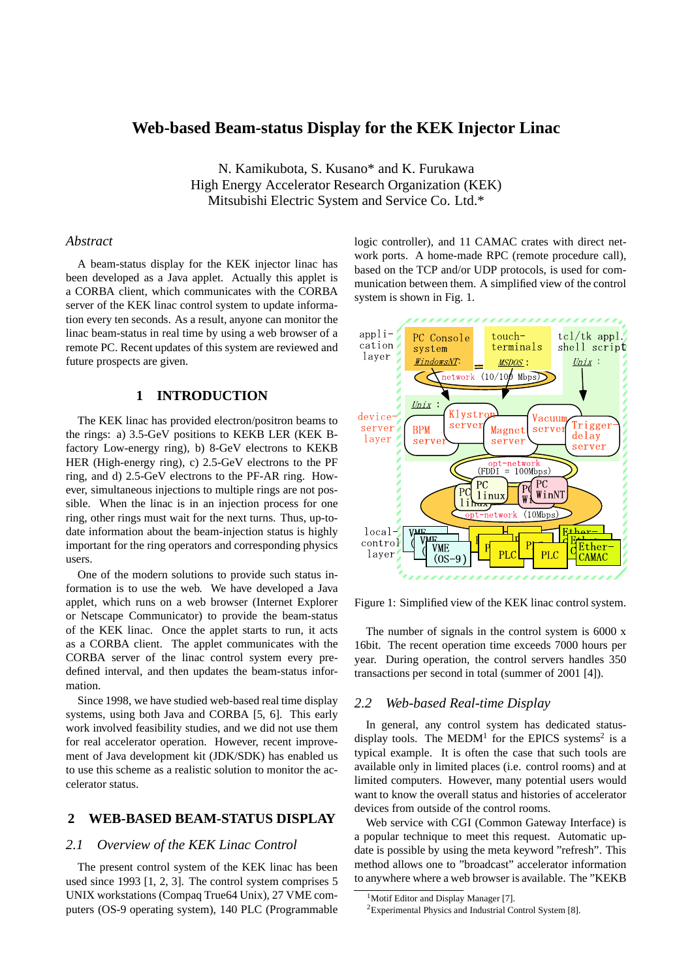# **Web-based Beam-status Display for the KEK Injector Linac**

N. Kamikubota, S. Kusano\* and K. Furukawa High Energy Accelerator Research Organization (KEK) Mitsubishi Electric System and Service Co. Ltd.\*

### *Abstract*

A beam-status display for the KEK injector linac has been developed as a Java applet. Actually this applet is a CORBA client, which communicates with the CORBA server of the KEK linac control system to update information every ten seconds. As a result, anyone can monitor the linac beam-status in real time by using a web browser of a remote PC. Recent updates of this system are reviewed and future prospects are given.

## **1 INTRODUCTION**

The KEK linac has provided electron/positron beams to the rings: a) 3.5-GeV positions to KEKB LER (KEK Bfactory Low-energy ring), b) 8-GeV electrons to KEKB HER (High-energy ring), c) 2.5-GeV electrons to the PF ring, and d) 2.5-GeV electrons to the PF-AR ring. However, simultaneous injections to multiple rings are not possible. When the linac is in an injection process for one ring, other rings must wait for the next turns. Thus, up-todate information about the beam-injection status is highly important for the ring operators and corresponding physics users.

One of the modern solutions to provide such status information is to use the web. We have developed a Java applet, which runs on a web browser (Internet Explorer or Netscape Communicator) to provide the beam-status of the KEK linac. Once the applet starts to run, it acts as a CORBA client. The applet communicates with the CORBA server of the linac control system every predefined interval, and then updates the beam-status information.

Since 1998, we have studied web-based real time display systems, using both Java and CORBA [5, 6]. This early work involved feasibility studies, and we did not use them for real accelerator operation. However, recent improvement of Java development kit (JDK/SDK) has enabled us to use this scheme as a realistic solution to monitor the accelerator status.

## **2 WEB-BASED BEAM-STATUS DISPLAY**

## *2.1 Overview of the KEK Linac Control*

The present control system of the KEK linac has been used since 1993 [1, 2, 3]. The control system comprises 5 UNIX workstations (Compaq True64 Unix), 27 VME computers (OS-9 operating system), 140 PLC (Programmable logic controller), and 11 CAMAC crates with direct network ports. A home-made RPC (remote procedure call), based on the TCP and/or UDP protocols, is used for communication between them. A simplified view of the control system is shown in Fig. 1.



Figure 1: Simplified view of the KEK linac control system.

The number of signals in the control system is 6000 x 16bit. The recent operation time exceeds 7000 hours per year. During operation, the control servers handles 350 transactions per second in total (summer of 2001 [4]).

#### *2.2 Web-based Real-time Display*

In general, any control system has dedicated statusdisplay tools. The MEDM<sup>1</sup> for the EPICS systems<sup>2</sup> is a typical example. It is often the case that such tools are available only in limited places (i.e. control rooms) and at limited computers. However, many potential users would want to know the overall status and histories of accelerator devices from outside of the control rooms.

Web service with CGI (Common Gateway Interface) is a popular technique to meet this request. Automatic update is possible by using the meta keyword "refresh". This method allows one to "broadcast" accelerator information to anywhere where a web browser is available. The "KEKB

<sup>&</sup>lt;sup>1</sup>Motif Editor and Display Manager [7]. <sup>2</sup>Experimental Physics and Industrial Control System [8].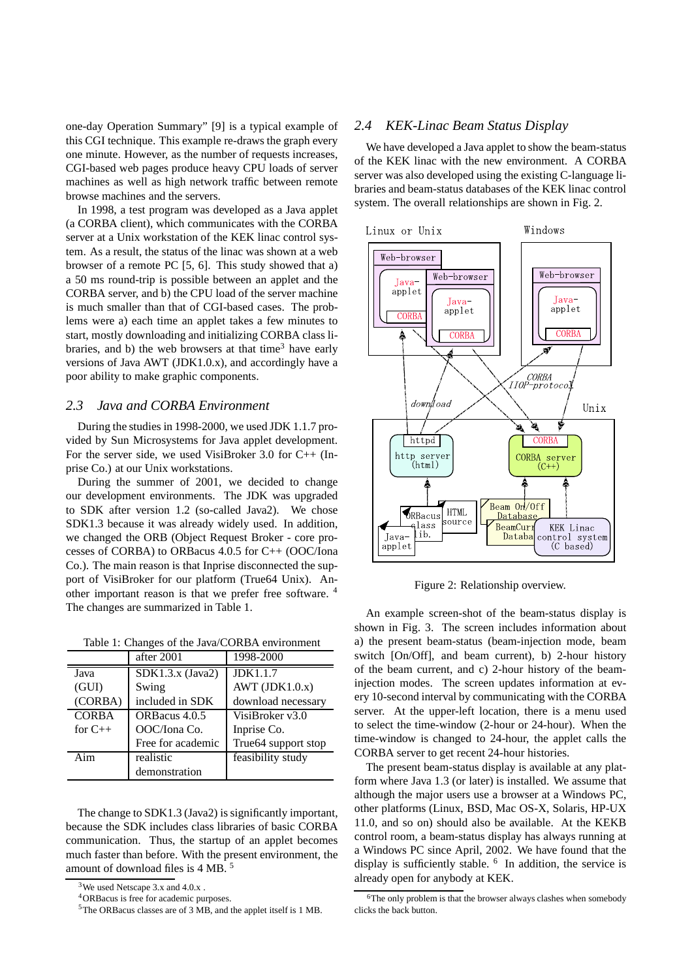one-day Operation Summary" [9] is a typical example of this CGI technique. This example re-draws the graph every one minute. However, as the number of requests increases, CGI-based web pages produce heavy CPU loads of server machines as well as high network traffic between remote browse machines and the servers.

In 1998, a test program was developed as a Java applet (a CORBA client), which communicates with the CORBA server at a Unix workstation of the KEK linac control system. As a result, the status of the linac was shown at a web browser of a remote PC [5, 6]. This study showed that a) a 50 ms round-trip is possible between an applet and the CORBA server, and b) the CPU load of the server machine is much smaller than that of CGI-based cases. The problems were a) each time an applet takes a few minutes to start, mostly downloading and initializing CORBA class libraries, and b) the web browsers at that time<sup>3</sup> have early versions of Java AWT (JDK1.0.x), and accordingly have a poor ability to make graphic components.

### *2.3 Java and CORBA Environment*

During the studies in 1998-2000, we used JDK 1.1.7 provided by Sun Microsystems for Java applet development. For the server side, we used VisiBroker 3.0 for C++ (Inprise Co.) at our Unix workstations.

During the summer of 2001, we decided to change our development environments. The JDK was upgraded to SDK after version 1.2 (so-called Java2). We chose SDK1.3 because it was already widely used. In addition, we changed the ORB (Object Request Broker - core processes of CORBA) to ORBacus 4.0.5 for C++ (OOC/Iona Co.). The main reason is that Inprise disconnected the support of VisiBroker for our platform (True64 Unix). Another important reason is that we prefer free software. <sup>4</sup> The changes are summarized in Table 1.

Table 1: Changes of the Java/CORBA environment

|              | after 2001         | 1998-2000           |
|--------------|--------------------|---------------------|
| Java         | $SDK1.3.x$ (Java2) | JDK1.1.7            |
| (GUI)        | Swing              | AWT $(JDK1.0.x)$    |
| (CORBA)      | included in SDK    | download necessary  |
| <b>CORBA</b> | ORBacus 4.0.5      | VisiBroker v3.0     |
| for $C++$    | OOC/Iona Co.       | Inprise Co.         |
|              | Free for academic  | True64 support stop |
| Aim          | realistic          | feasibility study   |
|              | demonstration      |                     |

The change to SDK1.3 (Java2) is significantly important, because the SDK includes class libraries of basic CORBA communication. Thus, the startup of an applet becomes much faster than before. With the present environment, the amount of download files is 4 MB. <sup>5</sup>

# *2.4 KEK-Linac Beam Status Display*

We have developed a Java applet to show the beam-status of the KEK linac with the new environment. A CORBA server was also developed using the existing C-language libraries and beam-status databases of the KEK linac control system. The overall relationships are shown in Fig. 2.



Figure 2: Relationship overview.

An example screen-shot of the beam-status display is shown in Fig. 3. The screen includes information about a) the present beam-status (beam-injection mode, beam switch [On/Off], and beam current), b) 2-hour history of the beam current, and c) 2-hour history of the beaminjection modes. The screen updates information at every 10-second interval by communicating with the CORBA server. At the upper-left location, there is a menu used to select the time-window (2-hour or 24-hour). When the time-window is changed to 24-hour, the applet calls the CORBA server to get recent 24-hour histories.

The present beam-status display is available at any platform where Java 1.3 (or later) is installed. We assume that although the major users use a browser at a Windows PC, other platforms (Linux, BSD, Mac OS-X, Solaris, HP-UX 11.0, and so on) should also be available. At the KEKB control room, a beam-status display has always running at a Windows PC since April, 2002. We have found that the display is sufficiently stable. <sup>6</sup> In addition, the service is already open for anybody at KEK.

<sup>&</sup>lt;sup>3</sup>We used Netscape 3.x and 4.0.x.

<sup>4</sup>ORBacus is free for academic purposes.

<sup>5</sup>The ORBacus classes are of 3 MB, and the applet itself is 1 MB.

<sup>6</sup>The only problem is that the browser always clashes when somebody clicks the back button.